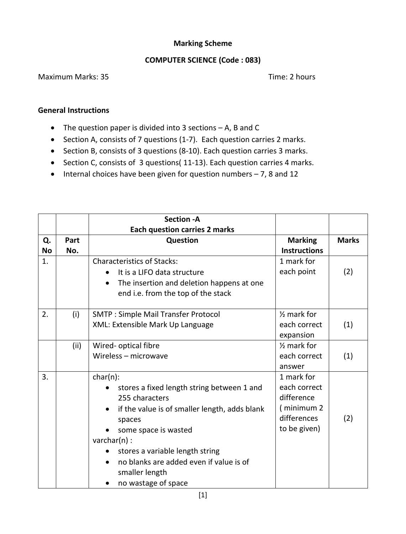## **Marking Scheme**

## **COMPUTER SCIENCE (Code : 083)**

## Maximum Marks: 35 Time: 2 hours

## **General Instructions**

- The question paper is divided into 3 sections A, B and C
- Section A, consists of 7 questions (1-7). Each question carries 2 marks.
- Section B, consists of 3 questions (8-10). Each question carries 3 marks.
- Section C, consists of 3 questions( 11-13). Each question carries 4 marks.
- $\bullet$  Internal choices have been given for question numbers  $-7$ , 8 and 12

|           |      | <b>Section - A</b>                                     |                        |              |
|-----------|------|--------------------------------------------------------|------------------------|--------------|
|           |      | <b>Each question carries 2 marks</b>                   |                        |              |
| Q.        | Part | Question                                               | <b>Marking</b>         | <b>Marks</b> |
| <b>No</b> | No.  |                                                        | <b>Instructions</b>    |              |
| 1.        |      | <b>Characteristics of Stacks:</b>                      | 1 mark for             |              |
|           |      | It is a LIFO data structure                            | each point             | (2)          |
|           |      | The insertion and deletion happens at one<br>$\bullet$ |                        |              |
|           |      | end i.e. from the top of the stack                     |                        |              |
|           |      |                                                        |                        |              |
| 2.        | (i)  | <b>SMTP: Simple Mail Transfer Protocol</b>             | $\frac{1}{2}$ mark for |              |
|           |      | XML: Extensible Mark Up Language                       | each correct           | (1)          |
|           |      |                                                        | expansion              |              |
|           | (ii) | Wired- optical fibre                                   | $\frac{1}{2}$ mark for |              |
|           |      | Wireless - microwave                                   | each correct           | (1)          |
|           |      |                                                        | answer                 |              |
| 3.        |      | $char(n)$ :                                            | 1 mark for             |              |
|           |      | stores a fixed length string between 1 and             | each correct           |              |
|           |      | 255 characters                                         | difference             |              |
|           |      | if the value is of smaller length, adds blank          | (minimum 2             |              |
|           |      | spaces                                                 | differences            | (2)          |
|           |      | some space is wasted                                   | to be given)           |              |
|           |      | $\text{varchar}(n)$ :                                  |                        |              |
|           |      | stores a variable length string                        |                        |              |
|           |      | no blanks are added even if value is of                |                        |              |
|           |      | smaller length                                         |                        |              |
|           |      | no wastage of space                                    |                        |              |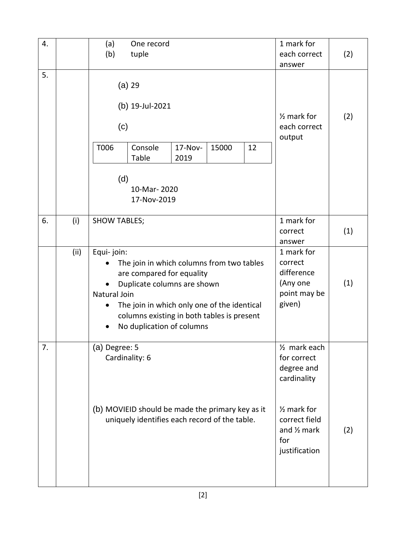| 4. |      | (a)                                                                                                                                                                                                                                                           | One record                                                                                                          |                 |                                 |                                                                           | 1 mark for                                                                                                                                               |     |
|----|------|---------------------------------------------------------------------------------------------------------------------------------------------------------------------------------------------------------------------------------------------------------------|---------------------------------------------------------------------------------------------------------------------|-----------------|---------------------------------|---------------------------------------------------------------------------|----------------------------------------------------------------------------------------------------------------------------------------------------------|-----|
|    |      | (b)                                                                                                                                                                                                                                                           | tuple                                                                                                               |                 |                                 |                                                                           | each correct                                                                                                                                             | (2) |
|    |      |                                                                                                                                                                                                                                                               |                                                                                                                     |                 |                                 |                                                                           | answer                                                                                                                                                   |     |
| 5. |      | (c)<br>T006<br>(d)                                                                                                                                                                                                                                            | $(a)$ 29<br>(b) 19-Jul-2021<br>Console<br>Table<br>10-Mar-2020                                                      | 17-Nov-<br>2019 | 15000                           | 12                                                                        | $\frac{1}{2}$ mark for<br>each correct<br>output                                                                                                         | (2) |
|    |      |                                                                                                                                                                                                                                                               | 17-Nov-2019                                                                                                         |                 |                                 |                                                                           |                                                                                                                                                          |     |
| 6. | (i)  | <b>SHOW TABLES;</b>                                                                                                                                                                                                                                           |                                                                                                                     |                 | 1 mark for<br>correct<br>answer | (1)                                                                       |                                                                                                                                                          |     |
|    | (ii) | Equi-join:<br>The join in which columns from two tables<br>are compared for equality<br>Duplicate columns are shown<br>Natural Join<br>The join in which only one of the identical<br>columns existing in both tables is present<br>No duplication of columns |                                                                                                                     |                 |                                 | 1 mark for<br>correct<br>difference<br>(Any one<br>point may be<br>given) | (1)                                                                                                                                                      |     |
| 7. |      | (a) Degree: 5                                                                                                                                                                                                                                                 | Cardinality: 6<br>(b) MOVIEID should be made the primary key as it<br>uniquely identifies each record of the table. |                 |                                 |                                                                           | 1/ <sub>2</sub> mark each<br>for correct<br>degree and<br>cardinality<br>$\frac{1}{2}$ mark for<br>correct field<br>and 1/2 mark<br>for<br>justification | (2) |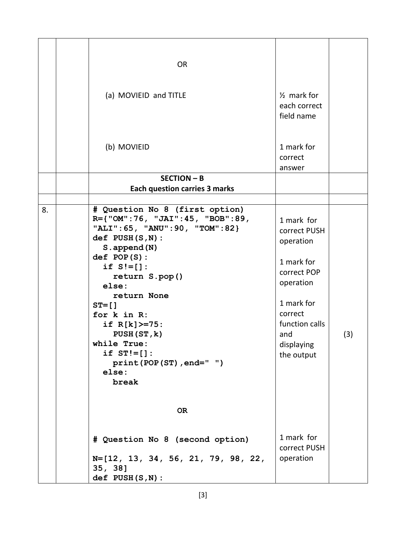|    | <b>OR</b>                                                                                                                                                                                                                                                                                                                                          |                                                                                                                                                                 |     |
|----|----------------------------------------------------------------------------------------------------------------------------------------------------------------------------------------------------------------------------------------------------------------------------------------------------------------------------------------------------|-----------------------------------------------------------------------------------------------------------------------------------------------------------------|-----|
|    | (a) MOVIEID and TITLE                                                                                                                                                                                                                                                                                                                              | $\frac{1}{2}$ mark for<br>each correct<br>field name                                                                                                            |     |
|    | (b) MOVIEID                                                                                                                                                                                                                                                                                                                                        | 1 mark for<br>correct<br>answer                                                                                                                                 |     |
|    | <b>SECTION - B</b>                                                                                                                                                                                                                                                                                                                                 |                                                                                                                                                                 |     |
|    | <b>Each question carries 3 marks</b>                                                                                                                                                                                                                                                                                                               |                                                                                                                                                                 |     |
| 8. | # Question No 8 (first option)<br>R={"OM":76, "JAI":45, "BOB":89,<br>"ALI": 65, "ANU": 90, "TOM": 82}<br>$def$ PUSH $(S, N)$ :<br>S.append(N)<br>def POP(S):<br>if $S!=[]$ :<br>return S.pop()<br>else:<br>return None<br>$ST = []$<br>for k in R:<br>if $R[k]$ >=75:<br>PUSH (ST, k)<br>while True:<br>if $ST'=[]$ :<br>print (POP (ST), end=" ") | 1 mark for<br>correct PUSH<br>operation<br>1 mark for<br>correct POP<br>operation<br>1 mark for<br>correct<br>function calls<br>and<br>displaying<br>the output | (3) |
|    | else:<br>break<br><b>OR</b><br># Question No 8 (second option)<br>$N=[12, 13, 34, 56, 21, 79, 98, 22,$<br>35, 38]<br>$def$ PUSH $(S, N)$ :                                                                                                                                                                                                         | 1 mark for<br>correct PUSH<br>operation                                                                                                                         |     |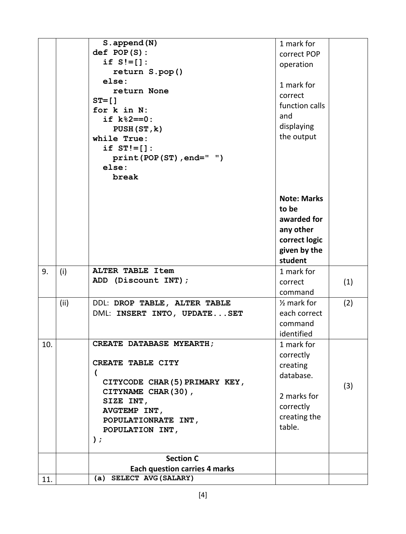| def POP(S):<br>correct POP<br>if $S'=[]$ :<br>operation<br>return S.pop()<br>else:<br>1 mark for<br>return None<br>correct<br>$ST = []$<br>function calls<br>for k in N:<br>and<br>if $k$ % $2 == 0$ :<br>displaying<br>PUSH (ST, k)<br>the output<br>while True:<br>if $ST!=[]$ :<br>$print(POP(ST)$ , $end=" "$<br>else:<br>break<br><b>Note: Marks</b><br>to be<br>awarded for<br>any other<br>correct logic<br>given by the<br>student<br>ALTER TABLE Item<br>9.<br>1 mark for<br>(i)<br>ADD (Discount INT);<br>(1)<br>correct<br>command<br>(ii)<br>$\frac{1}{2}$ mark for<br>(2)<br>DDL: DROP TABLE, ALTER TABLE<br>each correct<br>DML: INSERT INTO, UPDATESET<br>command<br>identified<br>CREATE DATABASE MYEARTH;<br>1 mark for<br>10.<br>correctly<br>CREATE TABLE CITY<br>creating<br>(<br>database.<br>CITYCODE CHAR(5) PRIMARY KEY,<br>(3)<br>CITYNAME CHAR(30),<br>2 marks for<br>SIZE INT,<br>correctly<br>AVGTEMP INT,<br>creating the<br>POPULATIONRATE INT,<br>table.<br>POPULATION INT,<br>);<br><b>Section C</b><br><b>Each question carries 4 marks</b> |     | S.append(N)             | 1 mark for |  |
|------------------------------------------------------------------------------------------------------------------------------------------------------------------------------------------------------------------------------------------------------------------------------------------------------------------------------------------------------------------------------------------------------------------------------------------------------------------------------------------------------------------------------------------------------------------------------------------------------------------------------------------------------------------------------------------------------------------------------------------------------------------------------------------------------------------------------------------------------------------------------------------------------------------------------------------------------------------------------------------------------------------------------------------------------------------------------|-----|-------------------------|------------|--|
|                                                                                                                                                                                                                                                                                                                                                                                                                                                                                                                                                                                                                                                                                                                                                                                                                                                                                                                                                                                                                                                                              |     |                         |            |  |
|                                                                                                                                                                                                                                                                                                                                                                                                                                                                                                                                                                                                                                                                                                                                                                                                                                                                                                                                                                                                                                                                              |     |                         |            |  |
|                                                                                                                                                                                                                                                                                                                                                                                                                                                                                                                                                                                                                                                                                                                                                                                                                                                                                                                                                                                                                                                                              |     |                         |            |  |
|                                                                                                                                                                                                                                                                                                                                                                                                                                                                                                                                                                                                                                                                                                                                                                                                                                                                                                                                                                                                                                                                              |     |                         |            |  |
|                                                                                                                                                                                                                                                                                                                                                                                                                                                                                                                                                                                                                                                                                                                                                                                                                                                                                                                                                                                                                                                                              |     |                         |            |  |
|                                                                                                                                                                                                                                                                                                                                                                                                                                                                                                                                                                                                                                                                                                                                                                                                                                                                                                                                                                                                                                                                              |     |                         |            |  |
|                                                                                                                                                                                                                                                                                                                                                                                                                                                                                                                                                                                                                                                                                                                                                                                                                                                                                                                                                                                                                                                                              |     |                         |            |  |
|                                                                                                                                                                                                                                                                                                                                                                                                                                                                                                                                                                                                                                                                                                                                                                                                                                                                                                                                                                                                                                                                              |     |                         |            |  |
|                                                                                                                                                                                                                                                                                                                                                                                                                                                                                                                                                                                                                                                                                                                                                                                                                                                                                                                                                                                                                                                                              |     |                         |            |  |
|                                                                                                                                                                                                                                                                                                                                                                                                                                                                                                                                                                                                                                                                                                                                                                                                                                                                                                                                                                                                                                                                              |     |                         |            |  |
|                                                                                                                                                                                                                                                                                                                                                                                                                                                                                                                                                                                                                                                                                                                                                                                                                                                                                                                                                                                                                                                                              |     |                         |            |  |
|                                                                                                                                                                                                                                                                                                                                                                                                                                                                                                                                                                                                                                                                                                                                                                                                                                                                                                                                                                                                                                                                              |     |                         |            |  |
|                                                                                                                                                                                                                                                                                                                                                                                                                                                                                                                                                                                                                                                                                                                                                                                                                                                                                                                                                                                                                                                                              |     |                         |            |  |
|                                                                                                                                                                                                                                                                                                                                                                                                                                                                                                                                                                                                                                                                                                                                                                                                                                                                                                                                                                                                                                                                              |     |                         |            |  |
|                                                                                                                                                                                                                                                                                                                                                                                                                                                                                                                                                                                                                                                                                                                                                                                                                                                                                                                                                                                                                                                                              |     |                         |            |  |
|                                                                                                                                                                                                                                                                                                                                                                                                                                                                                                                                                                                                                                                                                                                                                                                                                                                                                                                                                                                                                                                                              |     |                         |            |  |
|                                                                                                                                                                                                                                                                                                                                                                                                                                                                                                                                                                                                                                                                                                                                                                                                                                                                                                                                                                                                                                                                              |     |                         |            |  |
|                                                                                                                                                                                                                                                                                                                                                                                                                                                                                                                                                                                                                                                                                                                                                                                                                                                                                                                                                                                                                                                                              |     |                         |            |  |
|                                                                                                                                                                                                                                                                                                                                                                                                                                                                                                                                                                                                                                                                                                                                                                                                                                                                                                                                                                                                                                                                              |     |                         |            |  |
|                                                                                                                                                                                                                                                                                                                                                                                                                                                                                                                                                                                                                                                                                                                                                                                                                                                                                                                                                                                                                                                                              |     |                         |            |  |
|                                                                                                                                                                                                                                                                                                                                                                                                                                                                                                                                                                                                                                                                                                                                                                                                                                                                                                                                                                                                                                                                              |     |                         |            |  |
|                                                                                                                                                                                                                                                                                                                                                                                                                                                                                                                                                                                                                                                                                                                                                                                                                                                                                                                                                                                                                                                                              |     |                         |            |  |
|                                                                                                                                                                                                                                                                                                                                                                                                                                                                                                                                                                                                                                                                                                                                                                                                                                                                                                                                                                                                                                                                              |     |                         |            |  |
|                                                                                                                                                                                                                                                                                                                                                                                                                                                                                                                                                                                                                                                                                                                                                                                                                                                                                                                                                                                                                                                                              |     |                         |            |  |
|                                                                                                                                                                                                                                                                                                                                                                                                                                                                                                                                                                                                                                                                                                                                                                                                                                                                                                                                                                                                                                                                              |     |                         |            |  |
|                                                                                                                                                                                                                                                                                                                                                                                                                                                                                                                                                                                                                                                                                                                                                                                                                                                                                                                                                                                                                                                                              |     |                         |            |  |
|                                                                                                                                                                                                                                                                                                                                                                                                                                                                                                                                                                                                                                                                                                                                                                                                                                                                                                                                                                                                                                                                              |     |                         |            |  |
|                                                                                                                                                                                                                                                                                                                                                                                                                                                                                                                                                                                                                                                                                                                                                                                                                                                                                                                                                                                                                                                                              |     |                         |            |  |
|                                                                                                                                                                                                                                                                                                                                                                                                                                                                                                                                                                                                                                                                                                                                                                                                                                                                                                                                                                                                                                                                              |     |                         |            |  |
|                                                                                                                                                                                                                                                                                                                                                                                                                                                                                                                                                                                                                                                                                                                                                                                                                                                                                                                                                                                                                                                                              |     |                         |            |  |
|                                                                                                                                                                                                                                                                                                                                                                                                                                                                                                                                                                                                                                                                                                                                                                                                                                                                                                                                                                                                                                                                              |     |                         |            |  |
|                                                                                                                                                                                                                                                                                                                                                                                                                                                                                                                                                                                                                                                                                                                                                                                                                                                                                                                                                                                                                                                                              |     |                         |            |  |
|                                                                                                                                                                                                                                                                                                                                                                                                                                                                                                                                                                                                                                                                                                                                                                                                                                                                                                                                                                                                                                                                              |     |                         |            |  |
|                                                                                                                                                                                                                                                                                                                                                                                                                                                                                                                                                                                                                                                                                                                                                                                                                                                                                                                                                                                                                                                                              |     |                         |            |  |
|                                                                                                                                                                                                                                                                                                                                                                                                                                                                                                                                                                                                                                                                                                                                                                                                                                                                                                                                                                                                                                                                              |     |                         |            |  |
|                                                                                                                                                                                                                                                                                                                                                                                                                                                                                                                                                                                                                                                                                                                                                                                                                                                                                                                                                                                                                                                                              |     |                         |            |  |
|                                                                                                                                                                                                                                                                                                                                                                                                                                                                                                                                                                                                                                                                                                                                                                                                                                                                                                                                                                                                                                                                              |     |                         |            |  |
|                                                                                                                                                                                                                                                                                                                                                                                                                                                                                                                                                                                                                                                                                                                                                                                                                                                                                                                                                                                                                                                                              |     |                         |            |  |
|                                                                                                                                                                                                                                                                                                                                                                                                                                                                                                                                                                                                                                                                                                                                                                                                                                                                                                                                                                                                                                                                              |     |                         |            |  |
|                                                                                                                                                                                                                                                                                                                                                                                                                                                                                                                                                                                                                                                                                                                                                                                                                                                                                                                                                                                                                                                                              |     |                         |            |  |
|                                                                                                                                                                                                                                                                                                                                                                                                                                                                                                                                                                                                                                                                                                                                                                                                                                                                                                                                                                                                                                                                              |     |                         |            |  |
|                                                                                                                                                                                                                                                                                                                                                                                                                                                                                                                                                                                                                                                                                                                                                                                                                                                                                                                                                                                                                                                                              |     |                         |            |  |
|                                                                                                                                                                                                                                                                                                                                                                                                                                                                                                                                                                                                                                                                                                                                                                                                                                                                                                                                                                                                                                                                              | 11. | (a) SELECT AVG (SALARY) |            |  |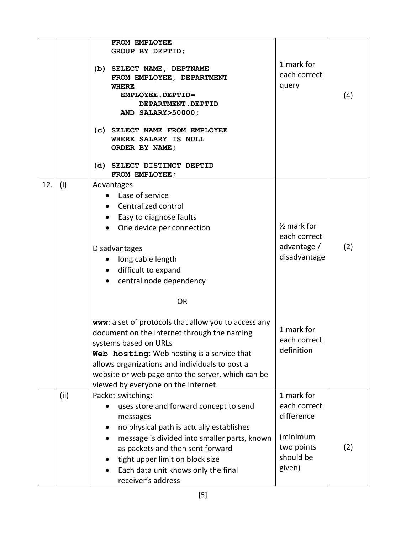|     |      | FROM EMPLOYEE<br>GROUP BY DEPTID;<br>(b) SELECT NAME, DEPTNAME<br>FROM EMPLOYEE, DEPARTMENT<br><b>WHERE</b><br>EMPLOYEE.DEPTID=<br>DEPARTMENT.DEPTID<br>AND SALARY>50000;<br>(c) SELECT NAME FROM EMPLOYEE<br>WHERE SALARY IS NULL<br>ORDER BY NAME;<br>(d) SELECT DISTINCT DEPTID                                                    | 1 mark for<br>each correct<br>query                                                       | (4) |
|-----|------|---------------------------------------------------------------------------------------------------------------------------------------------------------------------------------------------------------------------------------------------------------------------------------------------------------------------------------------|-------------------------------------------------------------------------------------------|-----|
| 12. | (i)  | FROM EMPLOYEE;<br>Advantages<br>Ease of service<br>Centralized control<br>Easy to diagnose faults<br>$\bullet$<br>One device per connection<br>Disadvantages<br>long cable length<br>$\bullet$<br>• difficult to expand<br>• central node dependency                                                                                  | $\frac{1}{2}$ mark for<br>each correct<br>advantage /<br>disadvantage                     | (2) |
|     |      | <b>OR</b><br>www: a set of protocols that allow you to access any<br>document on the internet through the naming<br>systems based on URLs<br>Web hosting: Web hosting is a service that<br>allows organizations and individuals to post a<br>website or web page onto the server, which can be<br>viewed by everyone on the Internet. | 1 mark for<br>each correct<br>definition                                                  |     |
|     | (ii) | Packet switching:<br>uses store and forward concept to send<br>messages<br>no physical path is actually establishes<br>message is divided into smaller parts, known<br>as packets and then sent forward<br>tight upper limit on block size<br>Each data unit knows only the final<br>receiver's address                               | 1 mark for<br>each correct<br>difference<br>(minimum<br>two points<br>should be<br>given) | (2) |